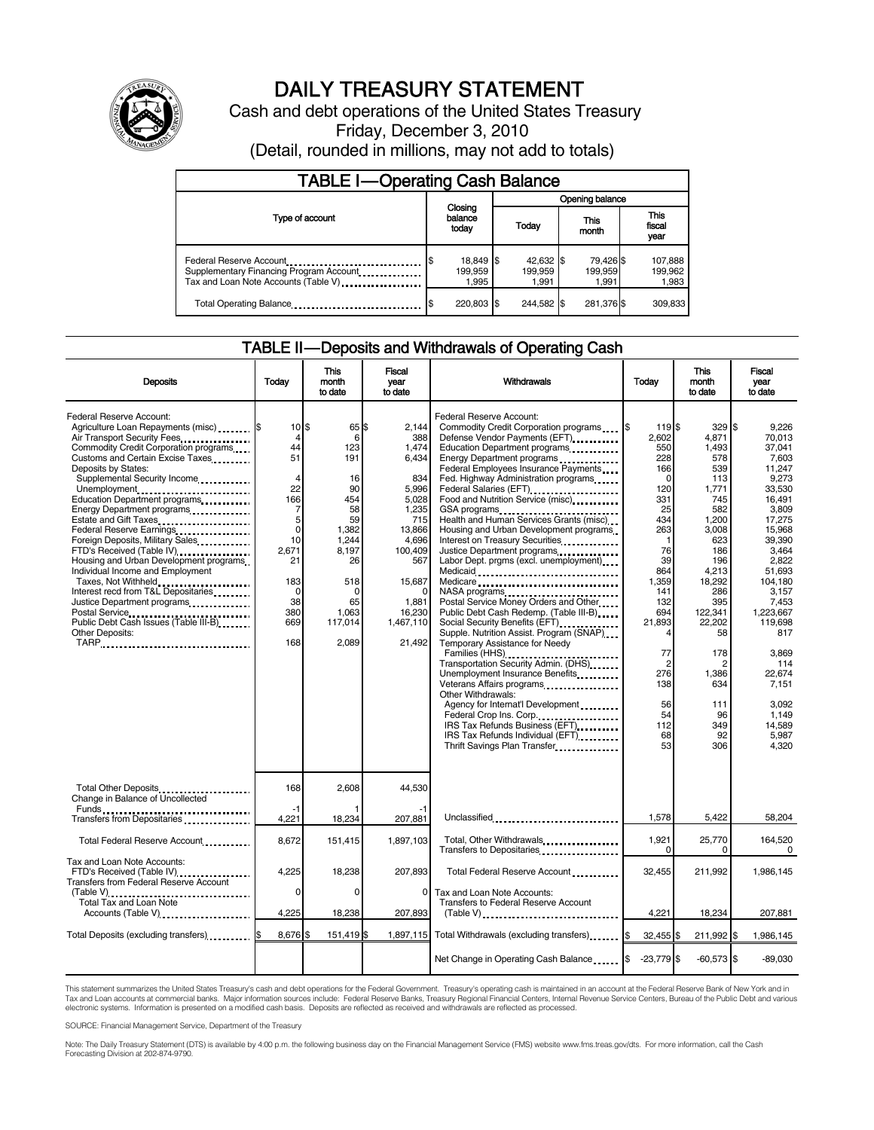

# DAILY TREASURY STATEMENT

Cash and debt operations of the United States Treasury Friday, December 3, 2010 (Detail, rounded in millions, may not add to totals)

| <b>TABLE I-Operating Cash Balance</b>                                                                      |                                     |  |                               |                               |                             |  |  |
|------------------------------------------------------------------------------------------------------------|-------------------------------------|--|-------------------------------|-------------------------------|-----------------------------|--|--|
|                                                                                                            | Opening balance                     |  |                               |                               |                             |  |  |
| Type of account                                                                                            | Closing<br>balance<br>today         |  | This<br>Today<br>month        | <b>This</b><br>fiscal<br>year |                             |  |  |
| Federal Reserve Account<br>Supplementary Financing Program Account<br>Tax and Loan Note Accounts (Table V) | 18,849 \$<br>\$<br>199,959<br>1,995 |  | 42,632 \$<br>199.959<br>1.991 | 79,426 \$<br>199,959<br>1.991 | 107,888<br>199,962<br>1,983 |  |  |
| Total Operating Balance                                                                                    | 220,803 \$                          |  | 244.582 \$                    | 281,376 \$                    | 309,833                     |  |  |

#### TABLE II — Deposits and Withdrawals of Operating Cash

| <b>Deposits</b>                                                                                                                                                                                                                                                                                                                                                                                                                                                                                                                                                                                                                                                                                                 | Today                                                                                                                                                             | This<br>month<br>to date                                                                                                                       | Fiscal<br>vear<br>to date                                                                                                                                        | Withdrawals                                                                                                                                                                                                                                                                                                                                                                                                                                                                                                                                                                                                                                                                                                                                                                                                                                                                                                                                                                                                                                               | Today                                                                                                                                                                                                                                     | <b>This</b><br>month<br>to date                                                                                                                                                                                              | <b>Fiscal</b><br>vear<br>to date                                                                                                                                                                                                                                                                |
|-----------------------------------------------------------------------------------------------------------------------------------------------------------------------------------------------------------------------------------------------------------------------------------------------------------------------------------------------------------------------------------------------------------------------------------------------------------------------------------------------------------------------------------------------------------------------------------------------------------------------------------------------------------------------------------------------------------------|-------------------------------------------------------------------------------------------------------------------------------------------------------------------|------------------------------------------------------------------------------------------------------------------------------------------------|------------------------------------------------------------------------------------------------------------------------------------------------------------------|-----------------------------------------------------------------------------------------------------------------------------------------------------------------------------------------------------------------------------------------------------------------------------------------------------------------------------------------------------------------------------------------------------------------------------------------------------------------------------------------------------------------------------------------------------------------------------------------------------------------------------------------------------------------------------------------------------------------------------------------------------------------------------------------------------------------------------------------------------------------------------------------------------------------------------------------------------------------------------------------------------------------------------------------------------------|-------------------------------------------------------------------------------------------------------------------------------------------------------------------------------------------------------------------------------------------|------------------------------------------------------------------------------------------------------------------------------------------------------------------------------------------------------------------------------|-------------------------------------------------------------------------------------------------------------------------------------------------------------------------------------------------------------------------------------------------------------------------------------------------|
| <b>Federal Reserve Account:</b><br>Agriculture Loan Repayments (misc) \$<br>Air Transport Security Fees.<br>Commodity Credit Corporation programs<br>Customs and Certain Excise Taxes<br>Deposits by States:<br>Supplemental Security Income<br>Unemployment<br>Education Department programs<br>Energy Department programs<br>Estate and Gift Taxes<br><br>Federal Reserve Earnings<br>Foreign Deposits, Military Sales<br>FTD's Received (Table IV)<br>Housing and Urban Development programs<br>Individual Income and Employment<br>Taxes, Not Withheld<br>Interest recd from T&L Depositaries<br>Justice Department programs<br>Postal Service<br>Public Debt Cash Issues (Table III-B).<br>Other Deposits: | $10$ $\frac{5}{5}$<br>$\overline{4}$<br>44<br>51<br>4<br>22<br>166<br>7<br>5<br>$\mathbf 0$<br>10<br>2.671<br>21<br>183<br>$\mathbf 0$<br>38<br>380<br>669<br>168 | 65 \$<br>6<br>123<br>191<br>16<br>90<br>454<br>58<br>59<br>1,382<br>1.244<br>8.197<br>26<br>518<br>$\Omega$<br>65<br>1.063<br>117.014<br>2,089 | 2.144<br>388<br>1.474<br>6,434<br>834<br>5,996<br>5,028<br>1.235<br>715<br>13,866<br>4,696<br>100.409<br>567<br>15,687<br>1.881<br>16,230<br>1.467.110<br>21,492 | Federal Reserve Account:<br>Commodity Credit Corporation programs<br>Defense Vendor Payments (EFT)<br>Education Department programs<br>Energy Department programs<br>Federal Employees Insurance Payments<br>Fed. Highway Administration programs<br>Federal Salaries (EFT)<br>Food and Nutrition Service (misc) [100]<br>GSA programs<br>Health and Human Services Grants (misc)<br>Housing and Urban Development programs<br>Interest on Treasury Securities<br>Justice Department programs<br>Labor Dept. prgms (excl. unemployment)<br>Medicare<br>Postal Service Money Orders and Other<br>Public Debt Cash Redemp. (Table III-B)<br>Social Security Benefits (EFT)<br>Supple. Nutrition Assist. Program (SNAP)<br>Temporary Assistance for Needy<br>Transportation Security Admin. (DHS)<br>Unemployment Insurance Benefits<br>Veterans Affairs programs<br>Other Withdrawals:<br>Agency for Internat'l Development<br>Federal Crop Ins. Corp<br>IRS Tax Refunds Business (EFT)<br>IRS Tax Refunds Individual (EFT)<br>Thrift Savings Plan Transfer | <b>1\$</b><br>1195<br>2.602<br>550<br>228<br>166<br>$\Omega$<br>120<br>331<br>25<br>434<br>263<br>-1<br>76<br>39<br>864<br>1,359<br>141<br>132<br>694<br>21.893<br>4<br>77<br>$\overline{2}$<br>276<br>138<br>56<br>54<br>112<br>68<br>53 | 329<br>4.871<br>1.493<br>578<br>539<br>113<br>1,771<br>745<br>582<br>1,200<br>3,008<br>623<br>186<br>196<br>4.213<br>18,292<br>286<br>395<br>122.341<br>22.202<br>58<br>178<br>1.386<br>634<br>111<br>96<br>349<br>92<br>306 | \$<br>9.226<br>70.013<br>37.041<br>7.603<br>11.247<br>9,273<br>33.530<br>16.491<br>3.809<br>17.275<br>15.968<br>39.390<br>3.464<br>2.822<br>51.693<br>104,180<br>3.157<br>7.453<br>1.223.667<br>119.698<br>817<br>3.869<br>114<br>22.674<br>7,151<br>3.092<br>1.149<br>14.589<br>5.987<br>4,320 |
| Total Other Deposits<br>Change in Balance of Uncollected                                                                                                                                                                                                                                                                                                                                                                                                                                                                                                                                                                                                                                                        | 168                                                                                                                                                               | 2,608                                                                                                                                          | 44,530                                                                                                                                                           |                                                                                                                                                                                                                                                                                                                                                                                                                                                                                                                                                                                                                                                                                                                                                                                                                                                                                                                                                                                                                                                           |                                                                                                                                                                                                                                           |                                                                                                                                                                                                                              |                                                                                                                                                                                                                                                                                                 |
| Transfers from Depositaries                                                                                                                                                                                                                                                                                                                                                                                                                                                                                                                                                                                                                                                                                     | $-1$<br>4,221                                                                                                                                                     | 18,234                                                                                                                                         | 207,881                                                                                                                                                          | Unclassified                                                                                                                                                                                                                                                                                                                                                                                                                                                                                                                                                                                                                                                                                                                                                                                                                                                                                                                                                                                                                                              | 1.578                                                                                                                                                                                                                                     | 5.422                                                                                                                                                                                                                        | 58,204                                                                                                                                                                                                                                                                                          |
| Total Federal Reserve Account                                                                                                                                                                                                                                                                                                                                                                                                                                                                                                                                                                                                                                                                                   | 8,672                                                                                                                                                             | 151,415                                                                                                                                        | 1.897.103                                                                                                                                                        | Total, Other Withdrawals<br>Transfers to Depositaries                                                                                                                                                                                                                                                                                                                                                                                                                                                                                                                                                                                                                                                                                                                                                                                                                                                                                                                                                                                                     | 1,921<br>$\Omega$                                                                                                                                                                                                                         | 25,770<br>O                                                                                                                                                                                                                  | 164,520<br>0                                                                                                                                                                                                                                                                                    |
| Tax and Loan Note Accounts:<br>FTD's Received (Table IV)<br><b>Transfers from Federal Reserve Account</b>                                                                                                                                                                                                                                                                                                                                                                                                                                                                                                                                                                                                       | 4,225<br>$\Omega$                                                                                                                                                 | 18,238<br>$\Omega$                                                                                                                             | 207,893<br>$\Omega$                                                                                                                                              | Total Federal Reserve Account<br>Tax and Loan Note Accounts:                                                                                                                                                                                                                                                                                                                                                                                                                                                                                                                                                                                                                                                                                                                                                                                                                                                                                                                                                                                              | 32,455                                                                                                                                                                                                                                    | 211,992                                                                                                                                                                                                                      | 1,986,145                                                                                                                                                                                                                                                                                       |
| Total Tax and Loan Note<br>Accounts (Table V) <b>[19] Accounts</b> (Table V) <b>[19] Accounts</b> (Table V) <b>[19]</b>                                                                                                                                                                                                                                                                                                                                                                                                                                                                                                                                                                                         | 4,225                                                                                                                                                             | 18,238                                                                                                                                         | 207,893                                                                                                                                                          | Transfers to Federal Reserve Account<br>(Table V)                                                                                                                                                                                                                                                                                                                                                                                                                                                                                                                                                                                                                                                                                                                                                                                                                                                                                                                                                                                                         | 4,221                                                                                                                                                                                                                                     | 18,234                                                                                                                                                                                                                       | 207,881                                                                                                                                                                                                                                                                                         |
| Total Deposits (excluding transfers) [S                                                                                                                                                                                                                                                                                                                                                                                                                                                                                                                                                                                                                                                                         | 8,676 \$                                                                                                                                                          | 151,419 \$                                                                                                                                     |                                                                                                                                                                  | 1,897,115 Total Withdrawals (excluding transfers) \$                                                                                                                                                                                                                                                                                                                                                                                                                                                                                                                                                                                                                                                                                                                                                                                                                                                                                                                                                                                                      | $32,455$ \$                                                                                                                                                                                                                               | 211,992 \$                                                                                                                                                                                                                   | 1,986,145                                                                                                                                                                                                                                                                                       |
|                                                                                                                                                                                                                                                                                                                                                                                                                                                                                                                                                                                                                                                                                                                 |                                                                                                                                                                   |                                                                                                                                                |                                                                                                                                                                  | Net Change in Operating Cash Balance                                                                                                                                                                                                                                                                                                                                                                                                                                                                                                                                                                                                                                                                                                                                                                                                                                                                                                                                                                                                                      | $-23,779$ \$                                                                                                                                                                                                                              | $-60,573$ \$                                                                                                                                                                                                                 | $-89,030$                                                                                                                                                                                                                                                                                       |

This statement summarizes the United States Treasury's cash and debt operations for the Federal Government. Treasury's operating cash is maintained in an account at the Federal Reserve Bank of New York and in<br>Tax and Loan

SOURCE: Financial Management Service, Department of the Treasury

Note: The Daily Treasury Statement (DTS) is available by 4:00 p.m. the following business day on the Financial Management Service (FMS) website www.fms.treas.gov/dts. For more information, call the Cash Forecasting Division at 202-874-9790.